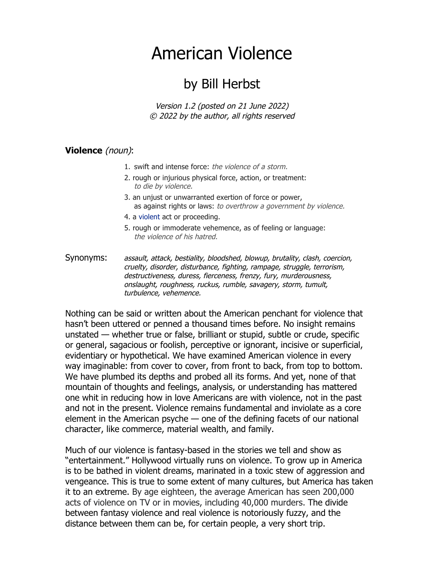## American Violence

## by Bill Herbst

Version 1.2 (posted on 21 June 2022) © 2022 by the author, all rights reserved

## **Violence** (noun):

- 1. swift and intense force: the violence of a storm.
- 2. rough or injurious physical force, action, or treatment: to die by violence.
- 3. an unjust or unwarranted exertion of force or power, as against rights or laws: to overthrow a government by violence.
- 4. a violent act or proceeding.
- 5. rough or immoderate vehemence, as of feeling or language: the violence of his hatred.

Synonyms: assault, attack, bestiality, bloodshed, blowup, brutality, clash, coercion, cruelty, disorder, disturbance, fighting, rampage, struggle, terrorism, destructiveness, duress, fierceness, frenzy, fury, murderousness, onslaught, roughness, ruckus, rumble, savagery, storm, tumult, turbulence, vehemence.

Nothing can be said or written about the American penchant for violence that hasn't been uttered or penned a thousand times before. No insight remains unstated — whether true or false, brilliant or stupid, subtle or crude, specific or general, sagacious or foolish, perceptive or ignorant, incisive or superficial, evidentiary or hypothetical. We have examined American violence in every way imaginable: from cover to cover, from front to back, from top to bottom. We have plumbed its depths and probed all its forms. And yet, none of that mountain of thoughts and feelings, analysis, or understanding has mattered one whit in reducing how in love Americans are with violence, not in the past and not in the present. Violence remains fundamental and inviolate as a core element in the American psyche  $-$  one of the defining facets of our national character, like commerce, material wealth, and family.

Much of our violence is fantasy-based in the stories we tell and show as "entertainment." Hollywood virtually runs on violence. To grow up in America is to be bathed in violent dreams, marinated in a toxic stew of aggression and vengeance. This is true to some extent of many cultures, but America has taken it to an extreme. By age eighteen, the average American has seen 200,000 acts of violence on TV or in movies, including 40,000 murders. The divide between fantasy violence and real violence is notoriously fuzzy, and the distance between them can be, for certain people, a very short trip.